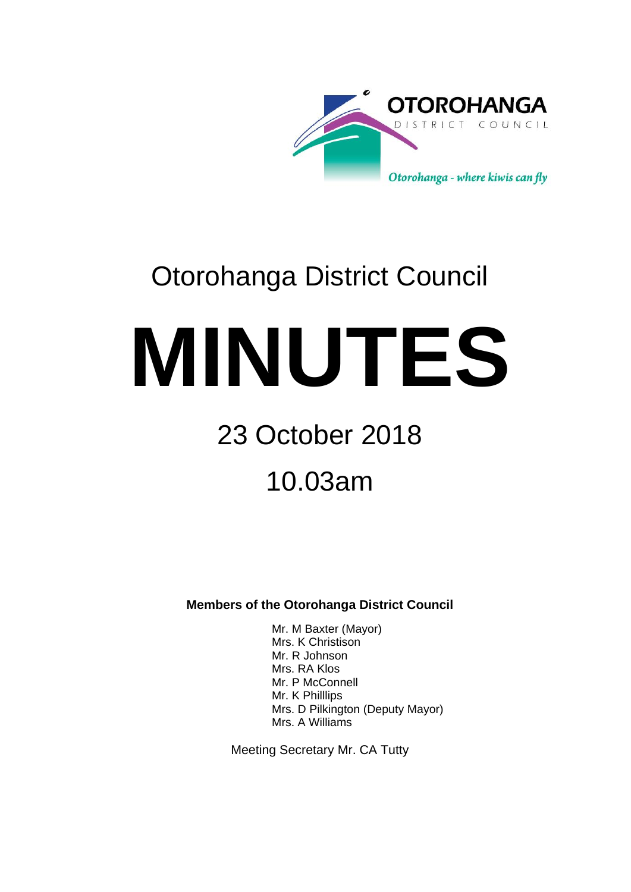

# Otorohanga District Council

**MINUTES**

# 23 October 2018

10.03am

**Members of the Otorohanga District Council**

Mr. M Baxter (Mayor) Mrs. K Christison Mr. R Johnson Mrs. RA Klos Mr. P McConnell Mr. K Philllips Mrs. D Pilkington (Deputy Mayor) Mrs. A Williams

Meeting Secretary Mr. CA Tutty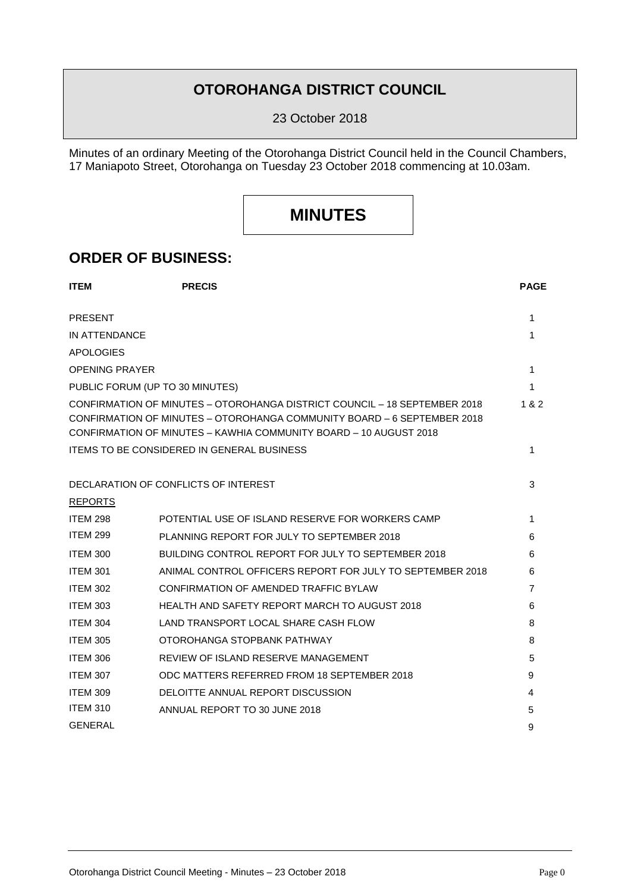### **OTOROHANGA DISTRICT COUNCIL**

23 October 2018

Minutes of an ordinary Meeting of the Otorohanga District Council held in the Council Chambers, 17 Maniapoto Street, Otorohanga on Tuesday 23 October 2018 commencing at 10.03am.

## **MINUTES**

### **ORDER OF BUSINESS:**

| <b>ITEM</b>                                       | <b>PRECIS</b>                                                                                                                                                                                                             | <b>PAGE</b> |  |
|---------------------------------------------------|---------------------------------------------------------------------------------------------------------------------------------------------------------------------------------------------------------------------------|-------------|--|
| <b>PRESENT</b>                                    |                                                                                                                                                                                                                           | 1           |  |
| IN ATTENDANCE                                     |                                                                                                                                                                                                                           |             |  |
| <b>APOLOGIES</b>                                  |                                                                                                                                                                                                                           |             |  |
| <b>OPENING PRAYER</b>                             |                                                                                                                                                                                                                           |             |  |
| PUBLIC FORUM (UP TO 30 MINUTES)                   |                                                                                                                                                                                                                           |             |  |
|                                                   | CONFIRMATION OF MINUTES - OTOROHANGA DISTRICT COUNCIL - 18 SEPTEMBER 2018<br>CONFIRMATION OF MINUTES – OTOROHANGA COMMUNITY BOARD – 6 SEPTEMBER 2018<br>CONFIRMATION OF MINUTES - KAWHIA COMMUNITY BOARD - 10 AUGUST 2018 | 1 & 2       |  |
| <b>ITEMS TO BE CONSIDERED IN GENERAL BUSINESS</b> |                                                                                                                                                                                                                           |             |  |
|                                                   | DECLARATION OF CONFLICTS OF INTEREST                                                                                                                                                                                      | 3           |  |
| <b>REPORTS</b>                                    |                                                                                                                                                                                                                           |             |  |
| <b>ITEM 298</b>                                   | POTENTIAL USE OF ISLAND RESERVE FOR WORKERS CAMP                                                                                                                                                                          | 1           |  |
| <b>ITEM 299</b>                                   | PLANNING REPORT FOR JULY TO SEPTEMBER 2018                                                                                                                                                                                | 6           |  |
| <b>ITEM 300</b>                                   | BUILDING CONTROL REPORT FOR JULY TO SEPTEMBER 2018                                                                                                                                                                        | 6           |  |
| <b>ITEM 301</b>                                   | ANIMAL CONTROL OFFICERS REPORT FOR JULY TO SEPTEMBER 2018                                                                                                                                                                 | 6           |  |
| <b>ITEM 302</b>                                   | CONFIRMATION OF AMENDED TRAFFIC BYLAW                                                                                                                                                                                     | 7           |  |
| <b>ITEM 303</b>                                   | <b>HEALTH AND SAFETY REPORT MARCH TO AUGUST 2018</b>                                                                                                                                                                      | 6           |  |
| <b>ITEM 304</b>                                   | LAND TRANSPORT LOCAL SHARE CASH FLOW                                                                                                                                                                                      | 8           |  |
| <b>ITEM 305</b>                                   | OTOROHANGA STOPBANK PATHWAY                                                                                                                                                                                               | 8           |  |
| <b>ITEM 306</b>                                   | REVIEW OF ISLAND RESERVE MANAGEMENT                                                                                                                                                                                       | 5           |  |
| <b>ITEM 307</b>                                   | ODC MATTERS REFERRED FROM 18 SEPTEMBER 2018                                                                                                                                                                               | 9           |  |
| <b>ITEM 309</b>                                   | DELOITTE ANNUAL REPORT DISCUSSION                                                                                                                                                                                         | 4           |  |
| <b>ITEM 310</b>                                   | ANNUAL REPORT TO 30 JUNE 2018                                                                                                                                                                                             | 5           |  |
| <b>GENERAL</b>                                    |                                                                                                                                                                                                                           | 9           |  |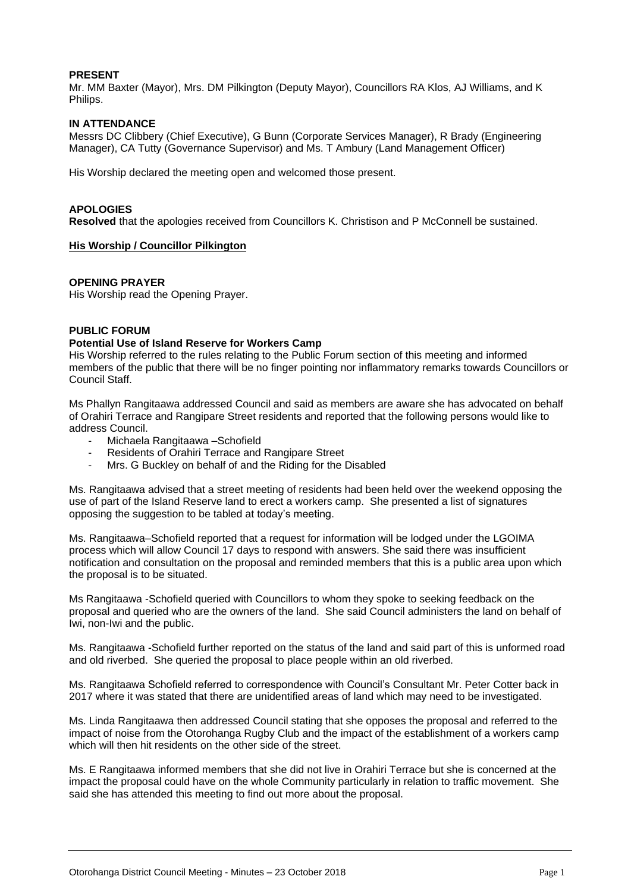#### **PRESENT**

Mr. MM Baxter (Mayor), Mrs. DM Pilkington (Deputy Mayor), Councillors RA Klos, AJ Williams, and K Philips.

#### **IN ATTENDANCE**

Messrs DC Clibbery (Chief Executive), G Bunn (Corporate Services Manager), R Brady (Engineering Manager), CA Tutty (Governance Supervisor) and Ms. T Ambury (Land Management Officer)

His Worship declared the meeting open and welcomed those present.

#### **APOLOGIES**

**Resolved** that the apologies received from Councillors K. Christison and P McConnell be sustained.

#### **His Worship / Councillor Pilkington**

#### **OPENING PRAYER**

His Worship read the Opening Prayer.

#### **PUBLIC FORUM**

#### **Potential Use of Island Reserve for Workers Camp**

His Worship referred to the rules relating to the Public Forum section of this meeting and informed members of the public that there will be no finger pointing nor inflammatory remarks towards Councillors or Council Staff.

Ms Phallyn Rangitaawa addressed Council and said as members are aware she has advocated on behalf of Orahiri Terrace and Rangipare Street residents and reported that the following persons would like to address Council.

- Michaela Rangitaawa Schofield
- Residents of Orahiri Terrace and Rangipare Street
- Mrs. G Buckley on behalf of and the Riding for the Disabled

Ms. Rangitaawa advised that a street meeting of residents had been held over the weekend opposing the use of part of the Island Reserve land to erect a workers camp. She presented a list of signatures opposing the suggestion to be tabled at today's meeting.

Ms. Rangitaawa–Schofield reported that a request for information will be lodged under the LGOIMA process which will allow Council 17 days to respond with answers. She said there was insufficient notification and consultation on the proposal and reminded members that this is a public area upon which the proposal is to be situated.

Ms Rangitaawa -Schofield queried with Councillors to whom they spoke to seeking feedback on the proposal and queried who are the owners of the land. She said Council administers the land on behalf of Iwi, non-Iwi and the public.

Ms. Rangitaawa -Schofield further reported on the status of the land and said part of this is unformed road and old riverbed. She queried the proposal to place people within an old riverbed.

Ms. Rangitaawa Schofield referred to correspondence with Council's Consultant Mr. Peter Cotter back in 2017 where it was stated that there are unidentified areas of land which may need to be investigated.

Ms. Linda Rangitaawa then addressed Council stating that she opposes the proposal and referred to the impact of noise from the Otorohanga Rugby Club and the impact of the establishment of a workers camp which will then hit residents on the other side of the street.

Ms. E Rangitaawa informed members that she did not live in Orahiri Terrace but she is concerned at the impact the proposal could have on the whole Community particularly in relation to traffic movement. She said she has attended this meeting to find out more about the proposal.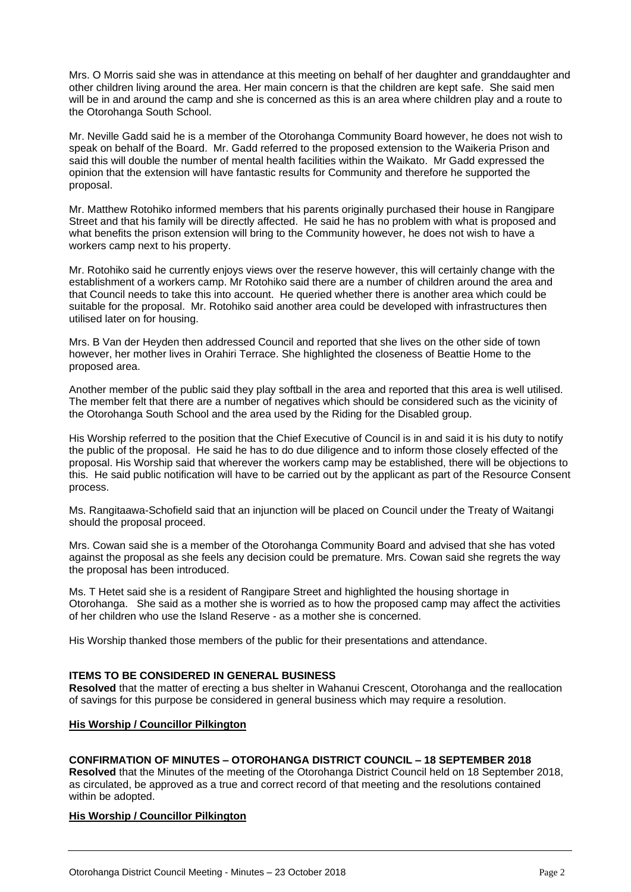Mrs. O Morris said she was in attendance at this meeting on behalf of her daughter and granddaughter and other children living around the area. Her main concern is that the children are kept safe. She said men will be in and around the camp and she is concerned as this is an area where children play and a route to the Otorohanga South School.

Mr. Neville Gadd said he is a member of the Otorohanga Community Board however, he does not wish to speak on behalf of the Board. Mr. Gadd referred to the proposed extension to the Waikeria Prison and said this will double the number of mental health facilities within the Waikato. Mr Gadd expressed the opinion that the extension will have fantastic results for Community and therefore he supported the proposal.

Mr. Matthew Rotohiko informed members that his parents originally purchased their house in Rangipare Street and that his family will be directly affected. He said he has no problem with what is proposed and what benefits the prison extension will bring to the Community however, he does not wish to have a workers camp next to his property.

Mr. Rotohiko said he currently enjoys views over the reserve however, this will certainly change with the establishment of a workers camp. Mr Rotohiko said there are a number of children around the area and that Council needs to take this into account. He queried whether there is another area which could be suitable for the proposal. Mr. Rotohiko said another area could be developed with infrastructures then utilised later on for housing.

Mrs. B Van der Heyden then addressed Council and reported that she lives on the other side of town however, her mother lives in Orahiri Terrace. She highlighted the closeness of Beattie Home to the proposed area.

Another member of the public said they play softball in the area and reported that this area is well utilised. The member felt that there are a number of negatives which should be considered such as the vicinity of the Otorohanga South School and the area used by the Riding for the Disabled group.

His Worship referred to the position that the Chief Executive of Council is in and said it is his duty to notify the public of the proposal. He said he has to do due diligence and to inform those closely effected of the proposal. His Worship said that wherever the workers camp may be established, there will be objections to this. He said public notification will have to be carried out by the applicant as part of the Resource Consent process.

Ms. Rangitaawa-Schofield said that an injunction will be placed on Council under the Treaty of Waitangi should the proposal proceed.

Mrs. Cowan said she is a member of the Otorohanga Community Board and advised that she has voted against the proposal as she feels any decision could be premature. Mrs. Cowan said she regrets the way the proposal has been introduced.

Ms. T Hetet said she is a resident of Rangipare Street and highlighted the housing shortage in Otorohanga. She said as a mother she is worried as to how the proposed camp may affect the activities of her children who use the Island Reserve - as a mother she is concerned.

His Worship thanked those members of the public for their presentations and attendance.

#### **ITEMS TO BE CONSIDERED IN GENERAL BUSINESS**

**Resolved** that the matter of erecting a bus shelter in Wahanui Crescent, Otorohanga and the reallocation of savings for this purpose be considered in general business which may require a resolution.

#### **His Worship / Councillor Pilkington**

#### **CONFIRMATION OF MINUTES – OTOROHANGA DISTRICT COUNCIL – 18 SEPTEMBER 2018**

**Resolved** that the Minutes of the meeting of the Otorohanga District Council held on 18 September 2018, as circulated, be approved as a true and correct record of that meeting and the resolutions contained within be adopted.

#### **His Worship / Councillor Pilkington**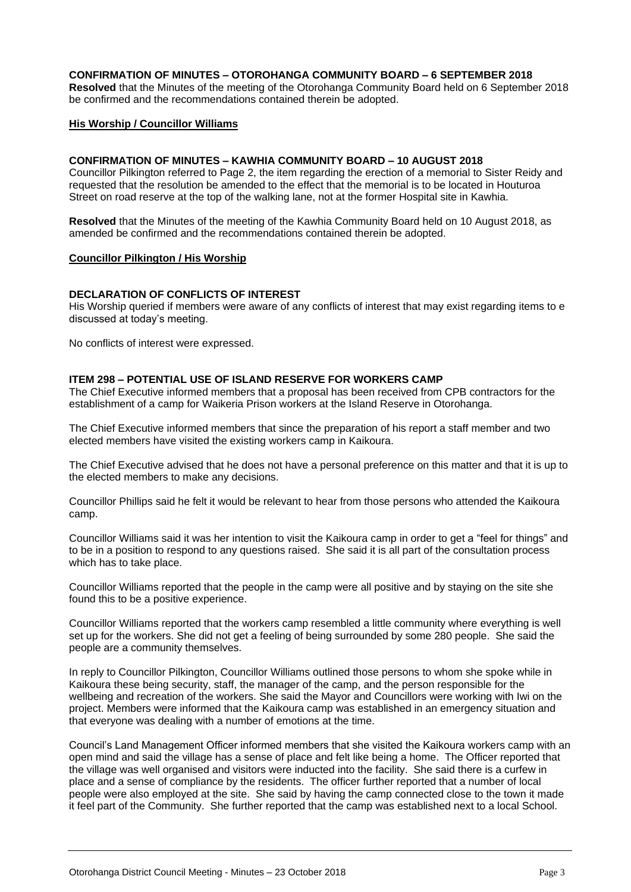#### **CONFIRMATION OF MINUTES – OTOROHANGA COMMUNITY BOARD – 6 SEPTEMBER 2018**

**Resolved** that the Minutes of the meeting of the Otorohanga Community Board held on 6 September 2018 be confirmed and the recommendations contained therein be adopted.

#### **His Worship / Councillor Williams**

#### **CONFIRMATION OF MINUTES – KAWHIA COMMUNITY BOARD – 10 AUGUST 2018**

Councillor Pilkington referred to Page 2, the item regarding the erection of a memorial to Sister Reidy and requested that the resolution be amended to the effect that the memorial is to be located in Houturoa Street on road reserve at the top of the walking lane, not at the former Hospital site in Kawhia.

**Resolved** that the Minutes of the meeting of the Kawhia Community Board held on 10 August 2018, as amended be confirmed and the recommendations contained therein be adopted.

#### **Councillor Pilkington / His Worship**

#### **DECLARATION OF CONFLICTS OF INTEREST**

His Worship queried if members were aware of any conflicts of interest that may exist regarding items to e discussed at today's meeting.

No conflicts of interest were expressed.

#### **ITEM 298 – POTENTIAL USE OF ISLAND RESERVE FOR WORKERS CAMP**

The Chief Executive informed members that a proposal has been received from CPB contractors for the establishment of a camp for Waikeria Prison workers at the Island Reserve in Otorohanga.

The Chief Executive informed members that since the preparation of his report a staff member and two elected members have visited the existing workers camp in Kaikoura.

The Chief Executive advised that he does not have a personal preference on this matter and that it is up to the elected members to make any decisions.

Councillor Phillips said he felt it would be relevant to hear from those persons who attended the Kaikoura camp.

Councillor Williams said it was her intention to visit the Kaikoura camp in order to get a "feel for things" and to be in a position to respond to any questions raised. She said it is all part of the consultation process which has to take place.

Councillor Williams reported that the people in the camp were all positive and by staying on the site she found this to be a positive experience.

Councillor Williams reported that the workers camp resembled a little community where everything is well set up for the workers. She did not get a feeling of being surrounded by some 280 people. She said the people are a community themselves.

In reply to Councillor Pilkington, Councillor Williams outlined those persons to whom she spoke while in Kaikoura these being security, staff, the manager of the camp, and the person responsible for the wellbeing and recreation of the workers. She said the Mayor and Councillors were working with Iwi on the project. Members were informed that the Kaikoura camp was established in an emergency situation and that everyone was dealing with a number of emotions at the time.

Council's Land Management Officer informed members that she visited the Kaikoura workers camp with an open mind and said the village has a sense of place and felt like being a home. The Officer reported that the village was well organised and visitors were inducted into the facility. She said there is a curfew in place and a sense of compliance by the residents. The officer further reported that a number of local people were also employed at the site. She said by having the camp connected close to the town it made it feel part of the Community. She further reported that the camp was established next to a local School.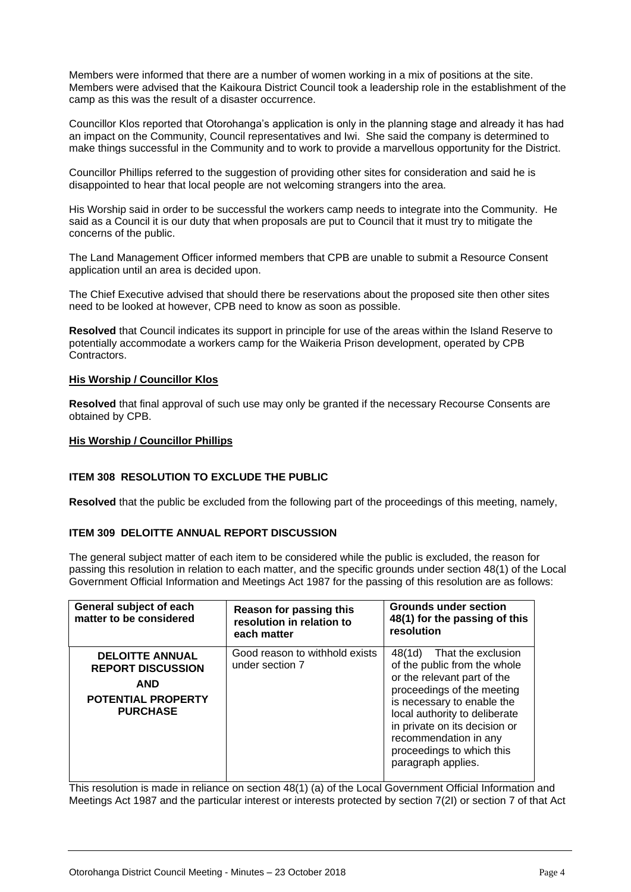Members were informed that there are a number of women working in a mix of positions at the site. Members were advised that the Kaikoura District Council took a leadership role in the establishment of the camp as this was the result of a disaster occurrence.

Councillor Klos reported that Otorohanga's application is only in the planning stage and already it has had an impact on the Community, Council representatives and Iwi. She said the company is determined to make things successful in the Community and to work to provide a marvellous opportunity for the District.

Councillor Phillips referred to the suggestion of providing other sites for consideration and said he is disappointed to hear that local people are not welcoming strangers into the area.

His Worship said in order to be successful the workers camp needs to integrate into the Community. He said as a Council it is our duty that when proposals are put to Council that it must try to mitigate the concerns of the public.

The Land Management Officer informed members that CPB are unable to submit a Resource Consent application until an area is decided upon.

The Chief Executive advised that should there be reservations about the proposed site then other sites need to be looked at however, CPB need to know as soon as possible.

**Resolved** that Council indicates its support in principle for use of the areas within the Island Reserve to potentially accommodate a workers camp for the Waikeria Prison development, operated by CPB Contractors.

#### **His Worship / Councillor Klos**

**Resolved** that final approval of such use may only be granted if the necessary Recourse Consents are obtained by CPB.

#### **His Worship / Councillor Phillips**

#### **ITEM 308 RESOLUTION TO EXCLUDE THE PUBLIC**

**Resolved** that the public be excluded from the following part of the proceedings of this meeting, namely,

#### **ITEM 309 DELOITTE ANNUAL REPORT DISCUSSION**

The general subject matter of each item to be considered while the public is excluded, the reason for passing this resolution in relation to each matter, and the specific grounds under section 48(1) of the Local Government Official Information and Meetings Act 1987 for the passing of this resolution are as follows:

| General subject of each<br>matter to be considered                                                               | Reason for passing this<br>resolution in relation to<br>each matter | <b>Grounds under section</b><br>48(1) for the passing of this<br>resolution                                                                                                                                                                                                                           |
|------------------------------------------------------------------------------------------------------------------|---------------------------------------------------------------------|-------------------------------------------------------------------------------------------------------------------------------------------------------------------------------------------------------------------------------------------------------------------------------------------------------|
| <b>DELOITTE ANNUAL</b><br><b>REPORT DISCUSSION</b><br><b>AND</b><br><b>POTENTIAL PROPERTY</b><br><b>PURCHASE</b> | Good reason to withhold exists<br>under section 7                   | That the exclusion<br>48(1d)<br>of the public from the whole<br>or the relevant part of the<br>proceedings of the meeting<br>is necessary to enable the<br>local authority to deliberate<br>in private on its decision or<br>recommendation in any<br>proceedings to which this<br>paragraph applies. |

This resolution is made in reliance on section 48(1) (a) of the Local Government Official Information and Meetings Act 1987 and the particular interest or interests protected by section 7(2I) or section 7 of that Act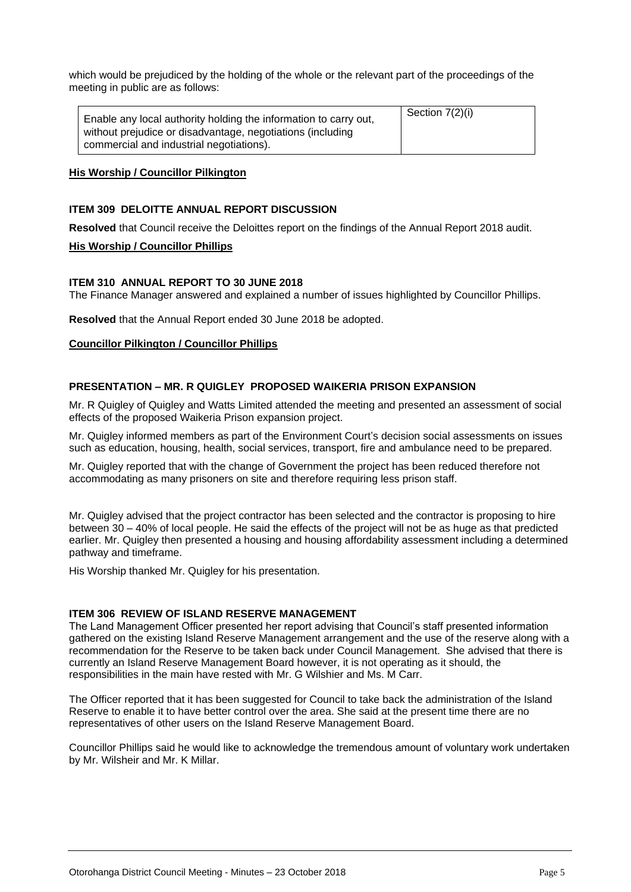which would be prejudiced by the holding of the whole or the relevant part of the proceedings of the meeting in public are as follows:

| Enable any local authority holding the information to carry out, | Section 7(2)(i) |
|------------------------------------------------------------------|-----------------|
| without prejudice or disadvantage, negotiations (including       |                 |
| commercial and industrial negotiations).                         |                 |

#### **His Worship / Councillor Pilkington**

#### **ITEM 309 DELOITTE ANNUAL REPORT DISCUSSION**

**Resolved** that Council receive the Deloittes report on the findings of the Annual Report 2018 audit.

#### **His Worship / Councillor Phillips**

#### **ITEM 310 ANNUAL REPORT TO 30 JUNE 2018**

The Finance Manager answered and explained a number of issues highlighted by Councillor Phillips.

**Resolved** that the Annual Report ended 30 June 2018 be adopted.

#### **Councillor Pilkington / Councillor Phillips**

#### **PRESENTATION – MR. R QUIGLEY PROPOSED WAIKERIA PRISON EXPANSION**

Mr. R Quigley of Quigley and Watts Limited attended the meeting and presented an assessment of social effects of the proposed Waikeria Prison expansion project.

Mr. Quigley informed members as part of the Environment Court's decision social assessments on issues such as education, housing, health, social services, transport, fire and ambulance need to be prepared.

Mr. Quigley reported that with the change of Government the project has been reduced therefore not accommodating as many prisoners on site and therefore requiring less prison staff.

Mr. Quigley advised that the project contractor has been selected and the contractor is proposing to hire between 30 – 40% of local people. He said the effects of the project will not be as huge as that predicted earlier. Mr. Quigley then presented a housing and housing affordability assessment including a determined pathway and timeframe.

His Worship thanked Mr. Quigley for his presentation.

#### **ITEM 306 REVIEW OF ISLAND RESERVE MANAGEMENT**

The Land Management Officer presented her report advising that Council's staff presented information gathered on the existing Island Reserve Management arrangement and the use of the reserve along with a recommendation for the Reserve to be taken back under Council Management. She advised that there is currently an Island Reserve Management Board however, it is not operating as it should, the responsibilities in the main have rested with Mr. G Wilshier and Ms. M Carr.

The Officer reported that it has been suggested for Council to take back the administration of the Island Reserve to enable it to have better control over the area. She said at the present time there are no representatives of other users on the Island Reserve Management Board.

Councillor Phillips said he would like to acknowledge the tremendous amount of voluntary work undertaken by Mr. Wilsheir and Mr. K Millar.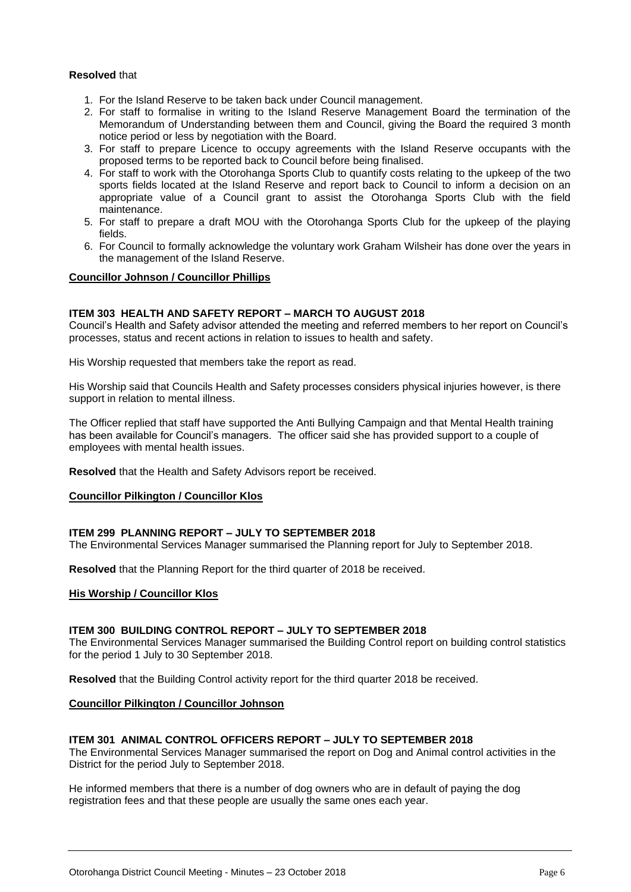#### **Resolved** that

- 1. For the Island Reserve to be taken back under Council management.
- 2. For staff to formalise in writing to the Island Reserve Management Board the termination of the Memorandum of Understanding between them and Council, giving the Board the required 3 month notice period or less by negotiation with the Board.
- 3. For staff to prepare Licence to occupy agreements with the Island Reserve occupants with the proposed terms to be reported back to Council before being finalised.
- 4. For staff to work with the Otorohanga Sports Club to quantify costs relating to the upkeep of the two sports fields located at the Island Reserve and report back to Council to inform a decision on an appropriate value of a Council grant to assist the Otorohanga Sports Club with the field maintenance.
- 5. For staff to prepare a draft MOU with the Otorohanga Sports Club for the upkeep of the playing fields.
- 6. For Council to formally acknowledge the voluntary work Graham Wilsheir has done over the years in the management of the Island Reserve.

#### **Councillor Johnson / Councillor Phillips**

#### **ITEM 303 HEALTH AND SAFETY REPORT – MARCH TO AUGUST 2018**

Council's Health and Safety advisor attended the meeting and referred members to her report on Council's processes, status and recent actions in relation to issues to health and safety.

His Worship requested that members take the report as read.

His Worship said that Councils Health and Safety processes considers physical injuries however, is there support in relation to mental illness.

The Officer replied that staff have supported the Anti Bullying Campaign and that Mental Health training has been available for Council's managers. The officer said she has provided support to a couple of employees with mental health issues.

**Resolved** that the Health and Safety Advisors report be received.

#### **Councillor Pilkington / Councillor Klos**

#### **ITEM 299 PLANNING REPORT – JULY TO SEPTEMBER 2018**

The Environmental Services Manager summarised the Planning report for July to September 2018.

**Resolved** that the Planning Report for the third quarter of 2018 be received.

#### **His Worship / Councillor Klos**

#### **ITEM 300 BUILDING CONTROL REPORT – JULY TO SEPTEMBER 2018**

The Environmental Services Manager summarised the Building Control report on building control statistics for the period 1 July to 30 September 2018.

**Resolved** that the Building Control activity report for the third quarter 2018 be received.

#### **Councillor Pilkington / Councillor Johnson**

#### **ITEM 301 ANIMAL CONTROL OFFICERS REPORT – JULY TO SEPTEMBER 2018**

The Environmental Services Manager summarised the report on Dog and Animal control activities in the District for the period July to September 2018.

He informed members that there is a number of dog owners who are in default of paying the dog registration fees and that these people are usually the same ones each year.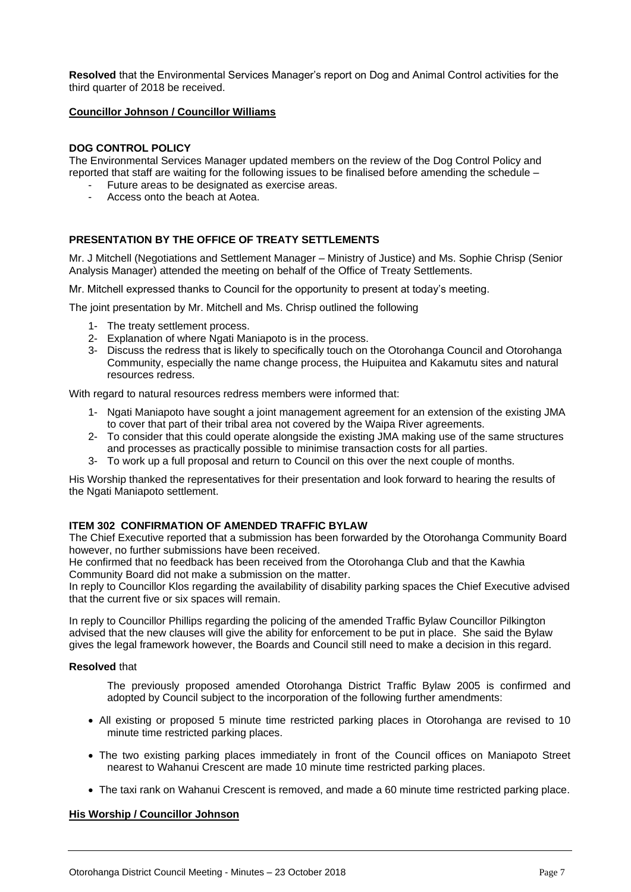**Resolved** that the Environmental Services Manager's report on Dog and Animal Control activities for the third quarter of 2018 be received.

#### **Councillor Johnson / Councillor Williams**

#### **DOG CONTROL POLICY**

The Environmental Services Manager updated members on the review of the Dog Control Policy and reported that staff are waiting for the following issues to be finalised before amending the schedule –

- Future areas to be designated as exercise areas.
- Access onto the beach at Aotea.

#### **PRESENTATION BY THE OFFICE OF TREATY SETTLEMENTS**

Mr. J Mitchell (Negotiations and Settlement Manager – Ministry of Justice) and Ms. Sophie Chrisp (Senior Analysis Manager) attended the meeting on behalf of the Office of Treaty Settlements.

Mr. Mitchell expressed thanks to Council for the opportunity to present at today's meeting.

The joint presentation by Mr. Mitchell and Ms. Chrisp outlined the following

- 1- The treaty settlement process.
- 2- Explanation of where Ngati Maniapoto is in the process.
- 3- Discuss the redress that is likely to specifically touch on the Otorohanga Council and Otorohanga Community, especially the name change process, the Huipuitea and Kakamutu sites and natural resources redress.

With regard to natural resources redress members were informed that:

- 1- Ngati Maniapoto have sought a joint management agreement for an extension of the existing JMA to cover that part of their tribal area not covered by the Waipa River agreements.
- 2- To consider that this could operate alongside the existing JMA making use of the same structures and processes as practically possible to minimise transaction costs for all parties.
- 3- To work up a full proposal and return to Council on this over the next couple of months.

His Worship thanked the representatives for their presentation and look forward to hearing the results of the Ngati Maniapoto settlement.

#### **ITEM 302 CONFIRMATION OF AMENDED TRAFFIC BYLAW**

The Chief Executive reported that a submission has been forwarded by the Otorohanga Community Board however, no further submissions have been received.

He confirmed that no feedback has been received from the Otorohanga Club and that the Kawhia Community Board did not make a submission on the matter.

In reply to Councillor Klos regarding the availability of disability parking spaces the Chief Executive advised that the current five or six spaces will remain.

In reply to Councillor Phillips regarding the policing of the amended Traffic Bylaw Councillor Pilkington advised that the new clauses will give the ability for enforcement to be put in place. She said the Bylaw gives the legal framework however, the Boards and Council still need to make a decision in this regard.

#### **Resolved** that

- The previously proposed amended Otorohanga District Traffic Bylaw 2005 is confirmed and adopted by Council subject to the incorporation of the following further amendments:
- All existing or proposed 5 minute time restricted parking places in Otorohanga are revised to 10 minute time restricted parking places.
- The two existing parking places immediately in front of the Council offices on Maniapoto Street nearest to Wahanui Crescent are made 10 minute time restricted parking places.
- The taxi rank on Wahanui Crescent is removed, and made a 60 minute time restricted parking place.

#### **His Worship / Councillor Johnson**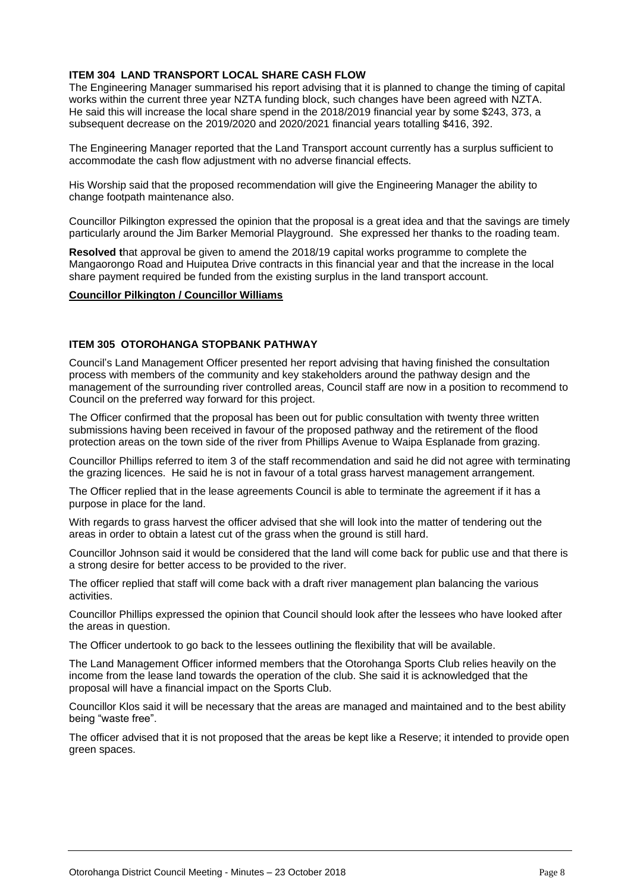#### **ITEM 304 LAND TRANSPORT LOCAL SHARE CASH FLOW**

The Engineering Manager summarised his report advising that it is planned to change the timing of capital works within the current three year NZTA funding block, such changes have been agreed with NZTA. He said this will increase the local share spend in the 2018/2019 financial year by some \$243, 373, a subsequent decrease on the 2019/2020 and 2020/2021 financial years totalling \$416, 392.

The Engineering Manager reported that the Land Transport account currently has a surplus sufficient to accommodate the cash flow adjustment with no adverse financial effects.

His Worship said that the proposed recommendation will give the Engineering Manager the ability to change footpath maintenance also.

Councillor Pilkington expressed the opinion that the proposal is a great idea and that the savings are timely particularly around the Jim Barker Memorial Playground. She expressed her thanks to the roading team.

**Resolved t**hat approval be given to amend the 2018/19 capital works programme to complete the Mangaorongo Road and Huiputea Drive contracts in this financial year and that the increase in the local share payment required be funded from the existing surplus in the land transport account.

#### **Councillor Pilkington / Councillor Williams**

#### **ITEM 305 OTOROHANGA STOPBANK PATHWAY**

Council's Land Management Officer presented her report advising that having finished the consultation process with members of the community and key stakeholders around the pathway design and the management of the surrounding river controlled areas, Council staff are now in a position to recommend to Council on the preferred way forward for this project.

The Officer confirmed that the proposal has been out for public consultation with twenty three written submissions having been received in favour of the proposed pathway and the retirement of the flood protection areas on the town side of the river from Phillips Avenue to Waipa Esplanade from grazing.

Councillor Phillips referred to item 3 of the staff recommendation and said he did not agree with terminating the grazing licences. He said he is not in favour of a total grass harvest management arrangement.

The Officer replied that in the lease agreements Council is able to terminate the agreement if it has a purpose in place for the land.

With regards to grass harvest the officer advised that she will look into the matter of tendering out the areas in order to obtain a latest cut of the grass when the ground is still hard.

Councillor Johnson said it would be considered that the land will come back for public use and that there is a strong desire for better access to be provided to the river.

The officer replied that staff will come back with a draft river management plan balancing the various activities.

Councillor Phillips expressed the opinion that Council should look after the lessees who have looked after the areas in question.

The Officer undertook to go back to the lessees outlining the flexibility that will be available.

The Land Management Officer informed members that the Otorohanga Sports Club relies heavily on the income from the lease land towards the operation of the club. She said it is acknowledged that the proposal will have a financial impact on the Sports Club.

Councillor Klos said it will be necessary that the areas are managed and maintained and to the best ability being "waste free".

The officer advised that it is not proposed that the areas be kept like a Reserve; it intended to provide open green spaces.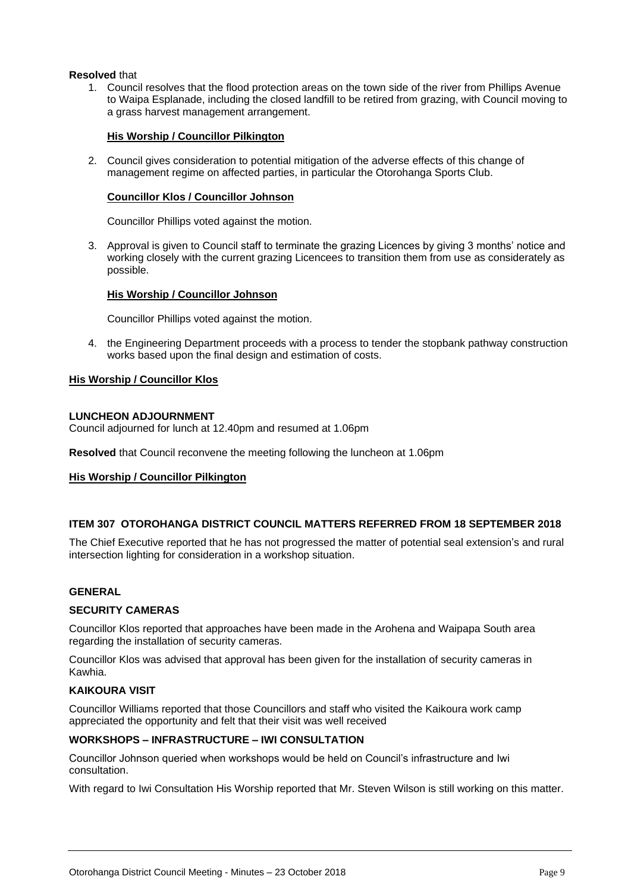#### **Resolved** that

1. Council resolves that the flood protection areas on the town side of the river from Phillips Avenue to Waipa Esplanade, including the closed landfill to be retired from grazing, with Council moving to a grass harvest management arrangement.

#### **His Worship / Councillor Pilkington**

2. Council gives consideration to potential mitigation of the adverse effects of this change of management regime on affected parties, in particular the Otorohanga Sports Club.

#### **Councillor Klos / Councillor Johnson**

Councillor Phillips voted against the motion.

3. Approval is given to Council staff to terminate the grazing Licences by giving 3 months' notice and working closely with the current grazing Licencees to transition them from use as considerately as possible.

#### **His Worship / Councillor Johnson**

Councillor Phillips voted against the motion.

4. the Engineering Department proceeds with a process to tender the stopbank pathway construction works based upon the final design and estimation of costs.

#### **His Worship / Councillor Klos**

#### **LUNCHEON ADJOURNMENT**

Council adjourned for lunch at 12.40pm and resumed at 1.06pm

**Resolved** that Council reconvene the meeting following the luncheon at 1.06pm

#### **His Worship / Councillor Pilkington**

#### **ITEM 307 OTOROHANGA DISTRICT COUNCIL MATTERS REFERRED FROM 18 SEPTEMBER 2018**

The Chief Executive reported that he has not progressed the matter of potential seal extension's and rural intersection lighting for consideration in a workshop situation.

#### **GENERAL**

#### **SECURITY CAMERAS**

Councillor Klos reported that approaches have been made in the Arohena and Waipapa South area regarding the installation of security cameras.

Councillor Klos was advised that approval has been given for the installation of security cameras in Kawhia.

#### **KAIKOURA VISIT**

Councillor Williams reported that those Councillors and staff who visited the Kaikoura work camp appreciated the opportunity and felt that their visit was well received

#### **WORKSHOPS – INFRASTRUCTURE – IWI CONSULTATION**

Councillor Johnson queried when workshops would be held on Council's infrastructure and Iwi consultation.

With regard to Iwi Consultation His Worship reported that Mr. Steven Wilson is still working on this matter.